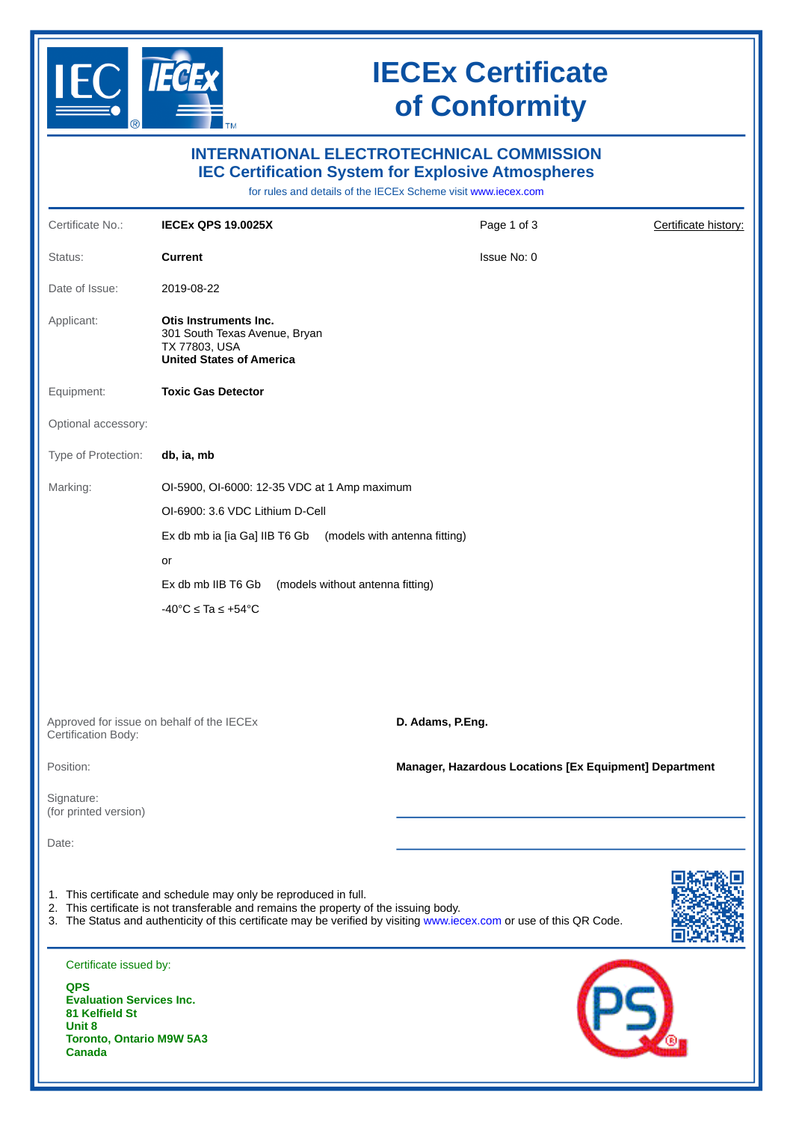

# **IECEx Certificate of Conformity**

| <b>INTERNATIONAL ELECTROTECHNICAL COMMISSION</b><br><b>IEC Certification System for Explosive Atmospheres</b><br>for rules and details of the IECEx Scheme visit www.iecex.com                                                                                                    |                                                                                                                                                                                                                                       |                                                        |                      |  |  |  |  |
|-----------------------------------------------------------------------------------------------------------------------------------------------------------------------------------------------------------------------------------------------------------------------------------|---------------------------------------------------------------------------------------------------------------------------------------------------------------------------------------------------------------------------------------|--------------------------------------------------------|----------------------|--|--|--|--|
| Certificate No.:                                                                                                                                                                                                                                                                  | <b>IECEX QPS 19.0025X</b>                                                                                                                                                                                                             | Page 1 of 3                                            | Certificate history: |  |  |  |  |
| Status:                                                                                                                                                                                                                                                                           | <b>Current</b>                                                                                                                                                                                                                        | Issue No: 0                                            |                      |  |  |  |  |
| Date of Issue:                                                                                                                                                                                                                                                                    | 2019-08-22                                                                                                                                                                                                                            |                                                        |                      |  |  |  |  |
| Applicant:                                                                                                                                                                                                                                                                        | Otis Instruments Inc.<br>301 South Texas Avenue, Bryan<br>TX 77803, USA<br><b>United States of America</b>                                                                                                                            |                                                        |                      |  |  |  |  |
| Equipment:                                                                                                                                                                                                                                                                        | <b>Toxic Gas Detector</b>                                                                                                                                                                                                             |                                                        |                      |  |  |  |  |
| Optional accessory:                                                                                                                                                                                                                                                               |                                                                                                                                                                                                                                       |                                                        |                      |  |  |  |  |
| Type of Protection:                                                                                                                                                                                                                                                               | db, ia, mb                                                                                                                                                                                                                            |                                                        |                      |  |  |  |  |
| Marking:                                                                                                                                                                                                                                                                          | OI-5900, OI-6000: 12-35 VDC at 1 Amp maximum<br>OI-6900: 3.6 VDC Lithium D-Cell<br>Ex db mb ia [ia Ga] IIB T6 Gb<br>or<br>(models without antenna fitting)<br>Ex db mb IIB T6 Gb<br>$-40^{\circ}$ C $\leq$ Ta $\leq$ +54 $^{\circ}$ C | (models with antenna fitting)                          |                      |  |  |  |  |
| Approved for issue on behalf of the IECEx<br>Certification Body:                                                                                                                                                                                                                  |                                                                                                                                                                                                                                       | D. Adams, P.Eng.                                       |                      |  |  |  |  |
| Position:                                                                                                                                                                                                                                                                         |                                                                                                                                                                                                                                       | Manager, Hazardous Locations [Ex Equipment] Department |                      |  |  |  |  |
| Signature:<br>(for printed version)                                                                                                                                                                                                                                               |                                                                                                                                                                                                                                       |                                                        |                      |  |  |  |  |
| Date:                                                                                                                                                                                                                                                                             |                                                                                                                                                                                                                                       |                                                        |                      |  |  |  |  |
| 1. This certificate and schedule may only be reproduced in full.<br>2. This certificate is not transferable and remains the property of the issuing body.<br>3. The Status and authenticity of this certificate may be verified by visiting www.iecex.com or use of this QR Code. |                                                                                                                                                                                                                                       |                                                        |                      |  |  |  |  |
| Certificate issued by:<br><b>QPS</b><br><b>Evaluation Services Inc.</b><br>81 Kelfield St<br>Unit 8<br><b>Toronto, Ontario M9W 5A3</b><br><b>Canada</b>                                                                                                                           |                                                                                                                                                                                                                                       |                                                        |                      |  |  |  |  |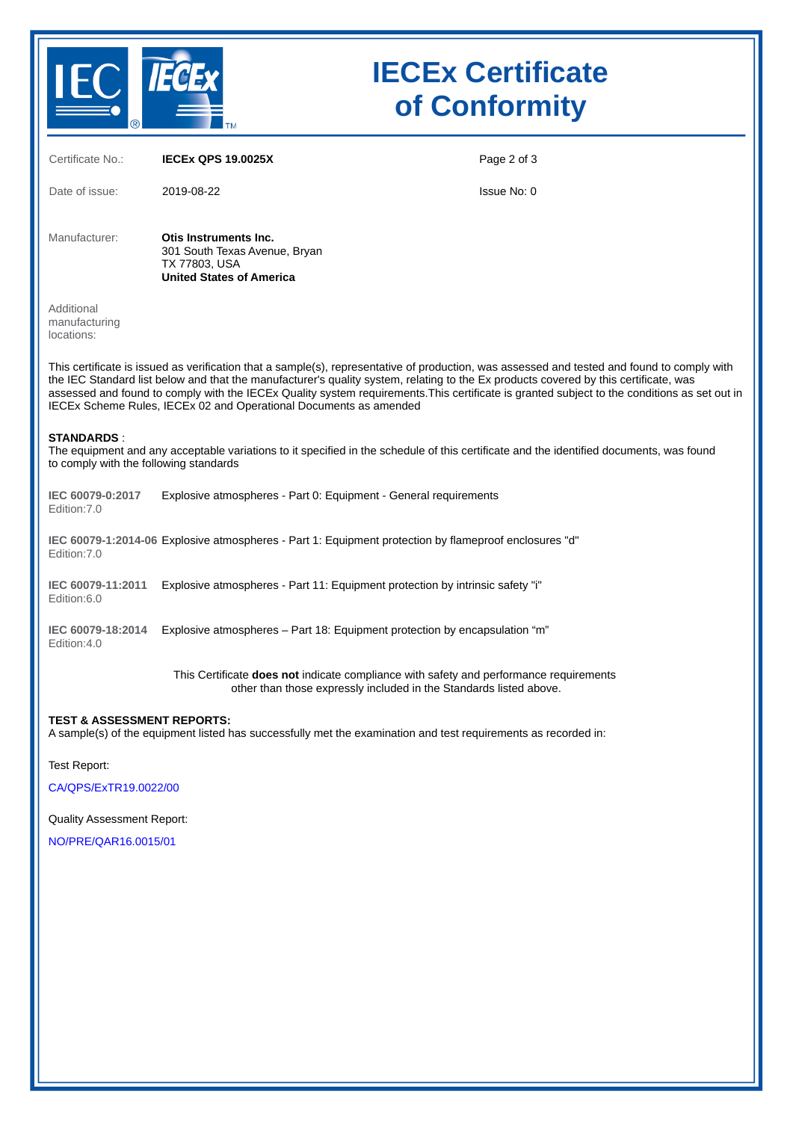

# **IECEx Certificate of Conformity**

| Certificate No.:                                                                                                                                                                                                                                                                                                                                                                                                                                                                                         | <b>IECEX QPS 19.0025X</b>                                                                                                                                    | Page 2 of 3 |  |  |  |  |
|----------------------------------------------------------------------------------------------------------------------------------------------------------------------------------------------------------------------------------------------------------------------------------------------------------------------------------------------------------------------------------------------------------------------------------------------------------------------------------------------------------|--------------------------------------------------------------------------------------------------------------------------------------------------------------|-------------|--|--|--|--|
| Date of issue:                                                                                                                                                                                                                                                                                                                                                                                                                                                                                           | 2019-08-22                                                                                                                                                   | Issue No: 0 |  |  |  |  |
| Manufacturer:                                                                                                                                                                                                                                                                                                                                                                                                                                                                                            | Otis Instruments Inc.<br>301 South Texas Avenue, Bryan<br>TX 77803, USA<br><b>United States of America</b>                                                   |             |  |  |  |  |
| Additional<br>manufacturing<br>locations:                                                                                                                                                                                                                                                                                                                                                                                                                                                                |                                                                                                                                                              |             |  |  |  |  |
| This certificate is issued as verification that a sample(s), representative of production, was assessed and tested and found to comply with<br>the IEC Standard list below and that the manufacturer's quality system, relating to the Ex products covered by this certificate, was<br>assessed and found to comply with the IECEx Quality system requirements. This certificate is granted subject to the conditions as set out in<br>IECEx Scheme Rules, IECEx 02 and Operational Documents as amended |                                                                                                                                                              |             |  |  |  |  |
| <b>STANDARDS:</b><br>The equipment and any acceptable variations to it specified in the schedule of this certificate and the identified documents, was found<br>to comply with the following standards                                                                                                                                                                                                                                                                                                   |                                                                                                                                                              |             |  |  |  |  |
| IEC 60079-0:2017<br>Edition: 7.0                                                                                                                                                                                                                                                                                                                                                                                                                                                                         | Explosive atmospheres - Part 0: Equipment - General requirements                                                                                             |             |  |  |  |  |
| Edition: 7.0                                                                                                                                                                                                                                                                                                                                                                                                                                                                                             | IEC 60079-1:2014-06 Explosive atmospheres - Part 1: Equipment protection by flameproof enclosures "d"                                                        |             |  |  |  |  |
| IEC 60079-11:2011<br>Edition:6.0                                                                                                                                                                                                                                                                                                                                                                                                                                                                         | Explosive atmospheres - Part 11: Equipment protection by intrinsic safety "i"                                                                                |             |  |  |  |  |
| IEC 60079-18:2014<br>Edition:4.0                                                                                                                                                                                                                                                                                                                                                                                                                                                                         | Explosive atmospheres - Part 18: Equipment protection by encapsulation "m"                                                                                   |             |  |  |  |  |
|                                                                                                                                                                                                                                                                                                                                                                                                                                                                                                          | This Certificate does not indicate compliance with safety and performance requirements<br>other than those expressly included in the Standards listed above. |             |  |  |  |  |
| <b>TEST &amp; ASSESSMENT REPORTS:</b><br>A sample(s) of the equipment listed has successfully met the examination and test requirements as recorded in:                                                                                                                                                                                                                                                                                                                                                  |                                                                                                                                                              |             |  |  |  |  |

Test Report:

[CA/QPS/ExTR19.0022/00](https://www.iecex-certs.com/deliverables/REPORT/3946/view)

Quality Assessment Report:

[NO/PRE/QAR16.0015/01](https://www.iecex-certs.com/deliverables/REPORT/54203/view)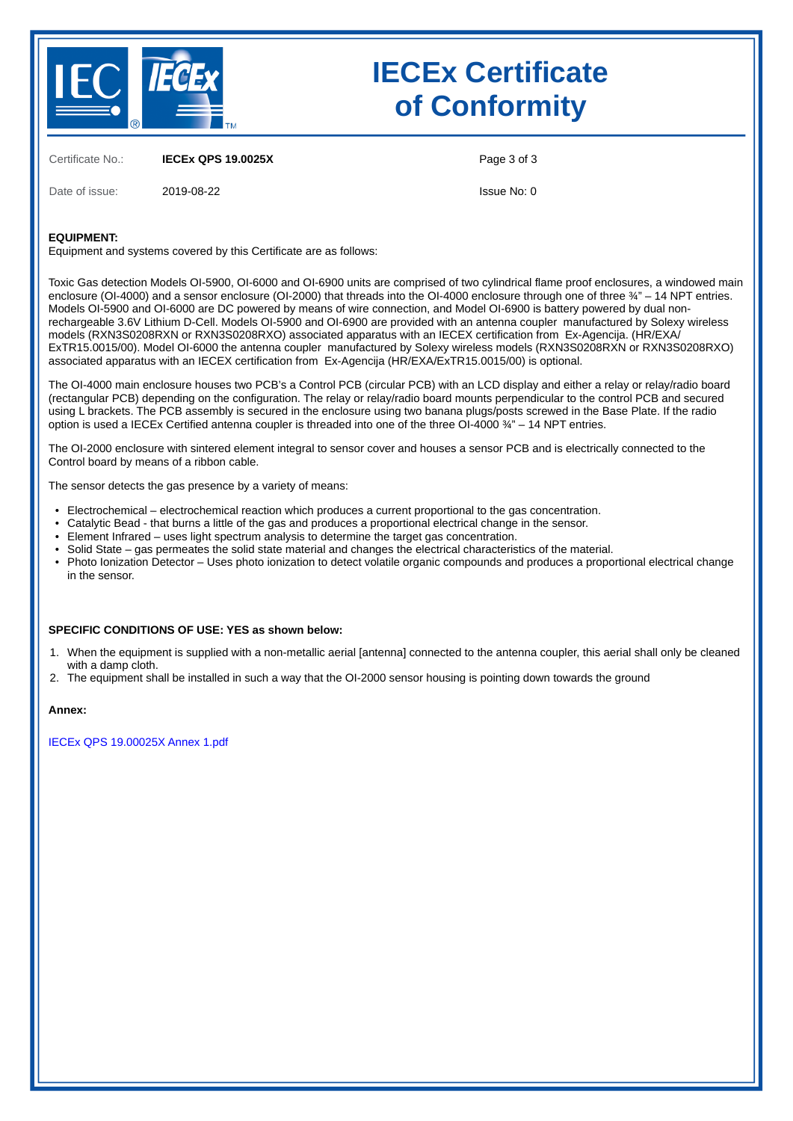

# **IECEx Certificate of Conformity**

Certificate No.: **IECEx QPS 19.0025X**

Date of issue: 2019-08-22

Page 3 of 3

Issue No: 0

### **EQUIPMENT:**

Equipment and systems covered by this Certificate are as follows:

Toxic Gas detection Models OI-5900, OI-6000 and OI-6900 units are comprised of two cylindrical flame proof enclosures, a windowed main enclosure (OI-4000) and a sensor enclosure (OI-2000) that threads into the OI-4000 enclosure through one of three ¾" – 14 NPT entries. Models OI-5900 and OI-6000 are DC powered by means of wire connection, and Model OI-6900 is battery powered by dual nonrechargeable 3.6V Lithium D-Cell. Models OI-5900 and OI-6900 are provided with an antenna coupler manufactured by Solexy wireless models (RXN3S0208RXN or RXN3S0208RXO) associated apparatus with an IECEX certification from Ex-Agencija. (HR/EXA/ ExTR15.0015/00). Model OI-6000 the antenna coupler manufactured by Solexy wireless models (RXN3S0208RXN or RXN3S0208RXO) associated apparatus with an IECEX certification from Ex-Agencija (HR/EXA/ExTR15.0015/00) is optional.

The OI-4000 main enclosure houses two PCB's a Control PCB (circular PCB) with an LCD display and either a relay or relay/radio board (rectangular PCB) depending on the configuration. The relay or relay/radio board mounts perpendicular to the control PCB and secured using L brackets. The PCB assembly is secured in the enclosure using two banana plugs/posts screwed in the Base Plate. If the radio option is used a IECEx Certified antenna coupler is threaded into one of the three OI-4000 ¾" – 14 NPT entries.

The OI-2000 enclosure with sintered element integral to sensor cover and houses a sensor PCB and is electrically connected to the Control board by means of a ribbon cable.

The sensor detects the gas presence by a variety of means:

- Electrochemical – electrochemical reaction which produces a current proportional to the gas concentration.
- Catalytic Bead - that burns a little of the gas and produces a proportional electrical change in the sensor.
- Element Infrared – uses light spectrum analysis to determine the target gas concentration.
- Solid State – gas permeates the solid state material and changes the electrical characteristics of the material.
- Photo Ionization Detector – Uses photo ionization to detect volatile organic compounds and produces a proportional electrical change in the sensor.

#### **SPECIFIC CONDITIONS OF USE: YES as shown below:**

- 1. When the equipment is supplied with a non-metallic aerial [antenna] connected to the antenna coupler, this aerial shall only be cleaned with a damp cloth.
- 2. The equipment shall be installed in such a way that the OI-2000 sensor housing is pointing down towards the ground

#### **Annex:**

[IECEx QPS 19.00025X Annex 1.pdf](https://www.iecex-certs.com/deliverables/CERT/23243/view)